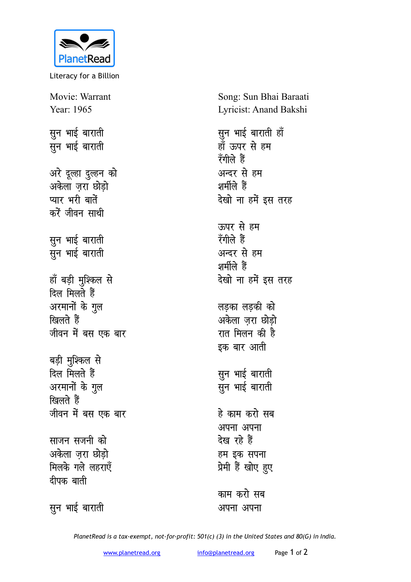

Literacy for a Billion

Movie: Warrant Year: 1965

**सून भाई** बाराती सून भाई बाराती

अरे दूल्हा दुल्हन को अकेला जरा छोड<del>ो</del> प्यार भरी बातें करें जीवन साथी

सून भाई बाराती **सून** भाई बाराती

हाँ बड़ी मुश्किल से <u>दिल मिलते</u> हैं अरमानों के गुल खिलते हैं जीवन में बस एक बार

बड़ी मुश्किल से <u>दिल मिलते</u> हैं अरमानों के गुल खिलते हैं जीवन में बस एक बार

**साजन सजनी** को अकेला जरा छोड<del>ो</del> **मिलके गले लहराएँ दीपक** बाती

सुन भाई बाराती

Song: Sun Bhai Baraati Lyricist: Anand Bakshi

सुन भाई बाराती **हाँ** <u>हाँ ऊपर से हम</u> **रँगीले हैं** अन्दर से **ह**म शर्मीले हैं देखो ना हमें इस तरह ऊपर से **ह**म **रॅगीले हैं** अन्दर से **ह**म शर्मीले हैं देखो ना हमें इस तरह लडका लडकी क<mark>ो</mark>

अकेला ज़रा छोड़ो रात मिलन की है इक बार आती

सुन भाई बाराती सुन भाई बाराती

हे काम करो सब अपना अपना <u>देख रहे</u> हैं हम इक सपना प्रेमी हैं खोए हुए

काम करो सब अपना अपना

*PlanetRead is a tax-exempt, not-for-profit: 501(c) (3) in the United States and 80(G) in India.*